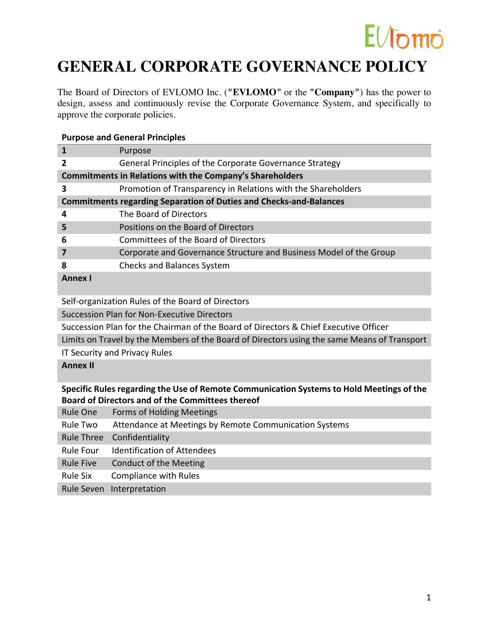### $E/J$ omo

### **GENERAL CORPORATE GOVERNANCE POLICY**

The Board of Directors of EVLOMO Inc. (**"EVLOMO"** or the **"Company"**) has the power to design, assess and continuously revise the Corporate Governance System, and specifically to approve the corporate policies.

### **Purpose and General Principles**

|                                                                           | Purpose                                                            |  |
|---------------------------------------------------------------------------|--------------------------------------------------------------------|--|
| 2                                                                         | General Principles of the Corporate Governance Strategy            |  |
| <b>Commitments in Relations with the Company's Shareholders</b>           |                                                                    |  |
| 3                                                                         | Promotion of Transparency in Relations with the Shareholders       |  |
| <b>Commitments regarding Separation of Duties and Checks-and-Balances</b> |                                                                    |  |
| 4                                                                         | The Board of Directors                                             |  |
| 5                                                                         | Positions on the Board of Directors                                |  |
| 6                                                                         | Committees of the Board of Directors                               |  |
|                                                                           | Corporate and Governance Structure and Business Model of the Group |  |
| 8                                                                         | <b>Checks and Balances System</b>                                  |  |
| <b>Annex I</b>                                                            |                                                                    |  |
| Self-organization Rules of the Board of Directors                         |                                                                    |  |

Succession Plan for Non-Executive Directors

Succession Plan for the Chairman of the Board of Directors & Chief Executive Officer

Limits on Travel by the Members of the Board of Directors using the same Means of Transport

IT Security and Privacy Rules

**Annex II**

### **Specific Rules regarding the Use of Remote Communication Systems to Hold Meetings of the Board of Directors and of the Committees thereof**

| Rule One         | Forms of Holding Meetings                              |
|------------------|--------------------------------------------------------|
| Rule Two         | Attendance at Meetings by Remote Communication Systems |
|                  | Rule Three Confidentiality                             |
| Rule Four        | <b>Identification of Attendees</b>                     |
| <b>Rule Five</b> | <b>Conduct of the Meeting</b>                          |
| Rule Six         | Compliance with Rules                                  |
|                  | Rule Seven Interpretation                              |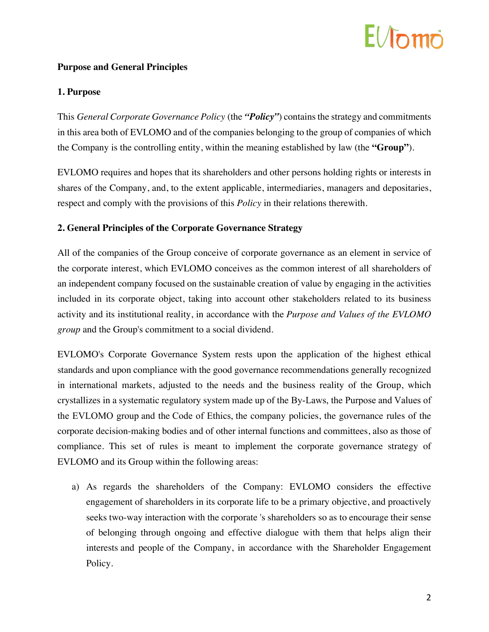## $F/fn$

### **Purpose and General Principles**

### **1. Purpose**

This *General Corporate Governance Policy* (the *"Policy"*) contains the strategy and commitments in this area both of EVLOMO and of the companies belonging to the group of companies of which the Company is the controlling entity, within the meaning established by law (the **"Group"**).

EVLOMO requires and hopes that its shareholders and other persons holding rights or interests in shares of the Company, and, to the extent applicable, intermediaries, managers and depositaries, respect and comply with the provisions of this *Policy* in their relations therewith.

### **2. General Principles of the Corporate Governance Strategy**

All of the companies of the Group conceive of corporate governance as an element in service of the corporate interest, which EVLOMO conceives as the common interest of all shareholders of an independent company focused on the sustainable creation of value by engaging in the activities included in its corporate object, taking into account other stakeholders related to its business activity and its institutional reality, in accordance with the *Purpose and Values of the EVLOMO group* and the Group's commitment to a social dividend.

EVLOMO's Corporate Governance System rests upon the application of the highest ethical standards and upon compliance with the good governance recommendations generally recognized in international markets, adjusted to the needs and the business reality of the Group, which crystallizes in a systematic regulatory system made up of the By-Laws, the Purpose and Values of the EVLOMO group and the Code of Ethics, the company policies, the governance rules of the corporate decision-making bodies and of other internal functions and committees, also as those of compliance. This set of rules is meant to implement the corporate governance strategy of EVLOMO and its Group within the following areas:

a) As regards the shareholders of the Company: EVLOMO considers the effective engagement of shareholders in its corporate life to be a primary objective, and proactively seeks two-way interaction with the corporate 's shareholders so as to encourage their sense of belonging through ongoing and effective dialogue with them that helps align their interests and people of the Company, in accordance with the Shareholder Engagement Policy.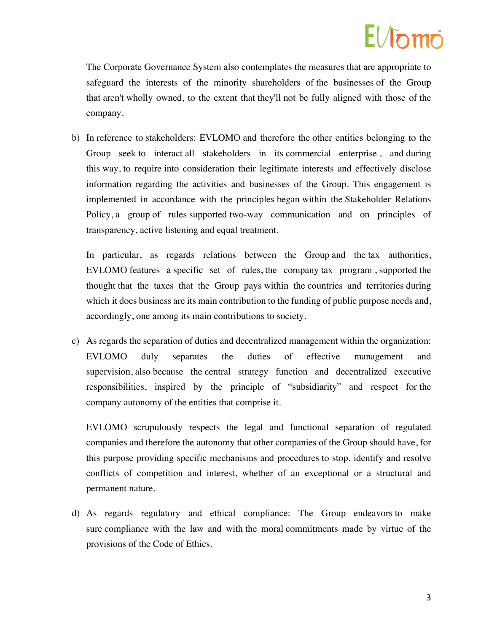The Corporate Governance System also contemplates the measures that are appropriate to safeguard the interests of the minority shareholders of the businesses of the Group that aren't wholly owned, to the extent that they'll not be fully aligned with those of the company.

b) In reference to stakeholders: EVLOMO and therefore the other entities belonging to the Group seek to interact all stakeholders in its commercial enterprise , and during this way, to require into consideration their legitimate interests and effectively disclose information regarding the activities and businesses of the Group. This engagement is implemented in accordance with the principles began within the Stakeholder Relations Policy, a group of rules supported two-way communication and on principles of transparency, active listening and equal treatment.

In particular, as regards relations between the Group and the tax authorities, EVLOMO features a specific set of rules, the company tax program , supported the thought that the taxes that the Group pays within the countries and territories during which it does business are its main contribution to the funding of public purpose needs and, accordingly, one among its main contributions to society.

c) As regards the separation of duties and decentralized management within the organization: EVLOMO duly separates the duties of effective management and supervision, also because the central strategy function and decentralized executive responsibilities, inspired by the principle of "subsidiarity" and respect for the company autonomy of the entities that comprise it.

EVLOMO scrupulously respects the legal and functional separation of regulated companies and therefore the autonomy that other companies of the Group should have, for this purpose providing specific mechanisms and procedures to stop, identify and resolve conflicts of competition and interest, whether of an exceptional or a structural and permanent nature.

d) As regards regulatory and ethical compliance: The Group endeavors to make sure compliance with the law and with the moral commitments made by virtue of the provisions of the Code of Ethics.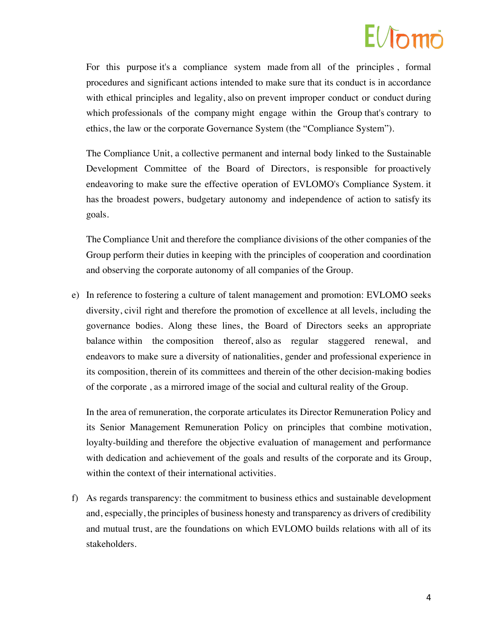### $F/L$

For this purpose it's a compliance system made from all of the principles , formal procedures and significant actions intended to make sure that its conduct is in accordance with ethical principles and legality, also on prevent improper conduct or conduct during which professionals of the company might engage within the Group that's contrary to ethics, the law or the corporate Governance System (the "Compliance System").

The Compliance Unit, a collective permanent and internal body linked to the Sustainable Development Committee of the Board of Directors, is responsible for proactively endeavoring to make sure the effective operation of EVLOMO's Compliance System. it has the broadest powers, budgetary autonomy and independence of action to satisfy its goals.

The Compliance Unit and therefore the compliance divisions of the other companies of the Group perform their duties in keeping with the principles of cooperation and coordination and observing the corporate autonomy of all companies of the Group.

e) In reference to fostering a culture of talent management and promotion: EVLOMO seeks diversity, civil right and therefore the promotion of excellence at all levels, including the governance bodies. Along these lines, the Board of Directors seeks an appropriate balance within the composition thereof, also as regular staggered renewal, and endeavors to make sure a diversity of nationalities, gender and professional experience in its composition, therein of its committees and therein of the other decision-making bodies of the corporate , as a mirrored image of the social and cultural reality of the Group.

In the area of remuneration, the corporate articulates its Director Remuneration Policy and its Senior Management Remuneration Policy on principles that combine motivation, loyalty-building and therefore the objective evaluation of management and performance with dedication and achievement of the goals and results of the corporate and its Group, within the context of their international activities.

f) As regards transparency: the commitment to business ethics and sustainable development and, especially, the principles of business honesty and transparency as drivers of credibility and mutual trust, are the foundations on which EVLOMO builds relations with all of its stakeholders.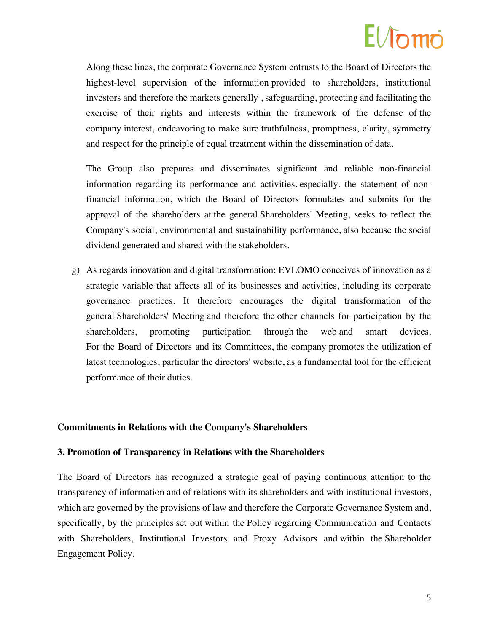### $E/\hbar m\tilde{\rho}$

Along these lines, the corporate Governance System entrusts to the Board of Directors the highest-level supervision of the information provided to shareholders, institutional investors and therefore the markets generally , safeguarding, protecting and facilitating the exercise of their rights and interests within the framework of the defense of the company interest, endeavoring to make sure truthfulness, promptness, clarity, symmetry and respect for the principle of equal treatment within the dissemination of data.

The Group also prepares and disseminates significant and reliable non-financial information regarding its performance and activities. especially, the statement of nonfinancial information, which the Board of Directors formulates and submits for the approval of the shareholders at the general Shareholders' Meeting, seeks to reflect the Company's social, environmental and sustainability performance, also because the social dividend generated and shared with the stakeholders.

g) As regards innovation and digital transformation: EVLOMO conceives of innovation as a strategic variable that affects all of its businesses and activities, including its corporate governance practices. It therefore encourages the digital transformation of the general Shareholders' Meeting and therefore the other channels for participation by the shareholders, promoting participation through the web and smart devices. For the Board of Directors and its Committees, the company promotes the utilization of latest technologies, particular the directors' website, as a fundamental tool for the efficient performance of their duties.

#### **Commitments in Relations with the Company's Shareholders**

#### **3. Promotion of Transparency in Relations with the Shareholders**

The Board of Directors has recognized a strategic goal of paying continuous attention to the transparency of information and of relations with its shareholders and with institutional investors, which are governed by the provisions of law and therefore the Corporate Governance System and, specifically, by the principles set out within the Policy regarding Communication and Contacts with Shareholders, Institutional Investors and Proxy Advisors and within the Shareholder Engagement Policy.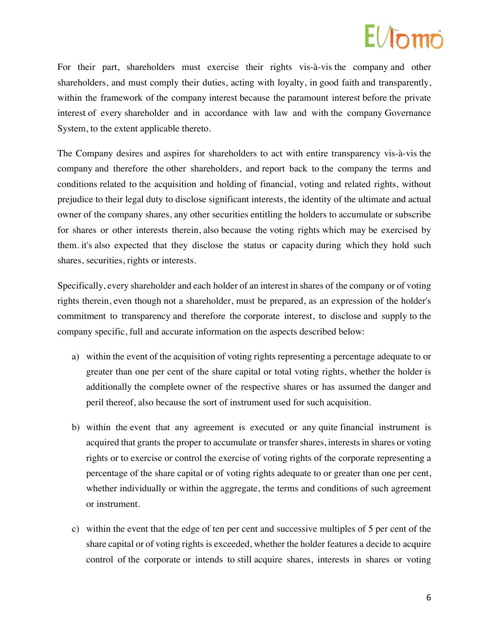For their part, shareholders must exercise their rights vis-à-vis the company and other shareholders, and must comply their duties, acting with loyalty, in good faith and transparently, within the framework of the company interest because the paramount interest before the private interest of every shareholder and in accordance with law and with the company Governance System, to the extent applicable thereto.

The Company desires and aspires for shareholders to act with entire transparency vis-à-vis the company and therefore the other shareholders, and report back to the company the terms and conditions related to the acquisition and holding of financial, voting and related rights, without prejudice to their legal duty to disclose significant interests, the identity of the ultimate and actual owner of the company shares, any other securities entitling the holders to accumulate or subscribe for shares or other interests therein, also because the voting rights which may be exercised by them. it's also expected that they disclose the status or capacity during which they hold such shares, securities, rights or interests.

Specifically, every shareholder and each holder of an interest in shares of the company or of voting rights therein, even though not a shareholder, must be prepared, as an expression of the holder's commitment to transparency and therefore the corporate interest, to disclose and supply to the company specific, full and accurate information on the aspects described below:

- a) within the event of the acquisition of voting rights representing a percentage adequate to or greater than one per cent of the share capital or total voting rights, whether the holder is additionally the complete owner of the respective shares or has assumed the danger and peril thereof, also because the sort of instrument used for such acquisition.
- b) within the event that any agreement is executed or any quite financial instrument is acquired that grants the proper to accumulate or transfer shares, interests in shares or voting rights or to exercise or control the exercise of voting rights of the corporate representing a percentage of the share capital or of voting rights adequate to or greater than one per cent, whether individually or within the aggregate, the terms and conditions of such agreement or instrument.
- c) within the event that the edge of ten per cent and successive multiples of 5 per cent of the share capital or of voting rights is exceeded, whether the holder features a decide to acquire control of the corporate or intends to still acquire shares, interests in shares or voting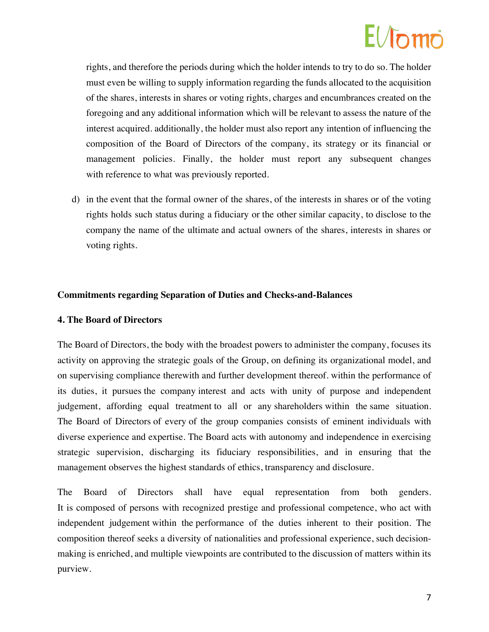# $F/f_{\mathcal{D}}$ m $\ddot{\mathcal{D}}$

rights, and therefore the periods during which the holder intends to try to do so. The holder must even be willing to supply information regarding the funds allocated to the acquisition of the shares, interests in shares or voting rights, charges and encumbrances created on the foregoing and any additional information which will be relevant to assess the nature of the interest acquired. additionally, the holder must also report any intention of influencing the composition of the Board of Directors of the company, its strategy or its financial or management policies. Finally, the holder must report any subsequent changes with reference to what was previously reported.

d) in the event that the formal owner of the shares, of the interests in shares or of the voting rights holds such status during a fiduciary or the other similar capacity, to disclose to the company the name of the ultimate and actual owners of the shares, interests in shares or voting rights.

### **Commitments regarding Separation of Duties and Checks-and-Balances**

#### **4. The Board of Directors**

The Board of Directors, the body with the broadest powers to administer the company, focuses its activity on approving the strategic goals of the Group, on defining its organizational model, and on supervising compliance therewith and further development thereof. within the performance of its duties, it pursues the company interest and acts with unity of purpose and independent judgement, affording equal treatment to all or any shareholders within the same situation. The Board of Directors of every of the group companies consists of eminent individuals with diverse experience and expertise. The Board acts with autonomy and independence in exercising strategic supervision, discharging its fiduciary responsibilities, and in ensuring that the management observes the highest standards of ethics, transparency and disclosure.

The Board of Directors shall have equal representation from both genders. It is composed of persons with recognized prestige and professional competence, who act with independent judgement within the performance of the duties inherent to their position. The composition thereof seeks a diversity of nationalities and professional experience, such decisionmaking is enriched, and multiple viewpoints are contributed to the discussion of matters within its purview.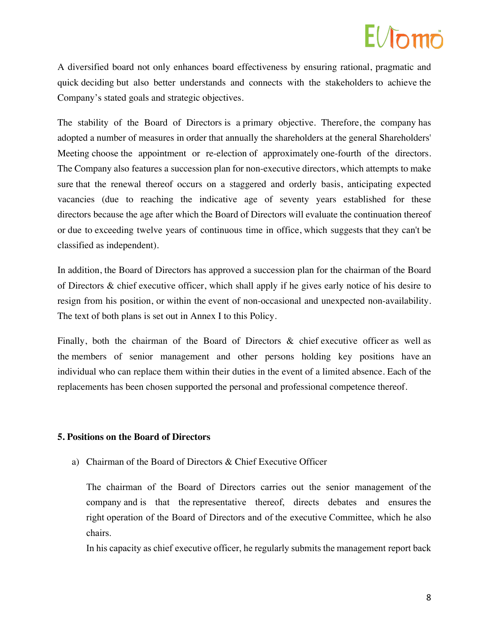### $F/Ln$

A diversified board not only enhances board effectiveness by ensuring rational, pragmatic and quick deciding but also better understands and connects with the stakeholders to achieve the Company's stated goals and strategic objectives.

The stability of the Board of Directors is a primary objective. Therefore, the company has adopted a number of measures in order that annually the shareholders at the general Shareholders' Meeting choose the appointment or re-election of approximately one-fourth of the directors. The Company also features a succession plan for non-executive directors, which attempts to make sure that the renewal thereof occurs on a staggered and orderly basis, anticipating expected vacancies (due to reaching the indicative age of seventy years established for these directors because the age after which the Board of Directors will evaluate the continuation thereof or due to exceeding twelve years of continuous time in office, which suggests that they can't be classified as independent).

In addition, the Board of Directors has approved a succession plan for the chairman of the Board of Directors & chief executive officer, which shall apply if he gives early notice of his desire to resign from his position, or within the event of non-occasional and unexpected non-availability. The text of both plans is set out in Annex I to this Policy.

Finally, both the chairman of the Board of Directors & chief executive officer as well as the members of senior management and other persons holding key positions have an individual who can replace them within their duties in the event of a limited absence. Each of the replacements has been chosen supported the personal and professional competence thereof.

### **5. Positions on the Board of Directors**

a) Chairman of the Board of Directors & Chief Executive Officer

The chairman of the Board of Directors carries out the senior management of the company and is that the representative thereof, directs debates and ensures the right operation of the Board of Directors and of the executive Committee, which he also chairs.

In his capacity as chief executive officer, he regularly submits the management report back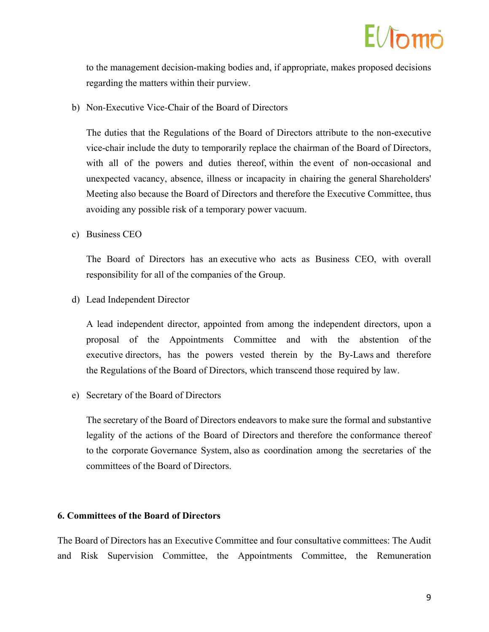

to the management decision-making bodies and, if appropriate, makes proposed decisions regarding the matters within their purview.

b) Non-Executive Vice-Chair of the Board of Directors

The duties that the Regulations of the Board of Directors attribute to the non-executive vice-chair include the duty to temporarily replace the chairman of the Board of Directors, with all of the powers and duties thereof, within the event of non-occasional and unexpected vacancy, absence, illness or incapacity in chairing the general Shareholders' Meeting also because the Board of Directors and therefore the Executive Committee, thus avoiding any possible risk of a temporary power vacuum.

c) Business CEO

The Board of Directors has an executive who acts as Business CEO, with overall responsibility for all of the companies of the Group.

d) Lead Independent Director

A lead independent director, appointed from among the independent directors, upon a proposal of the Appointments Committee and with the abstention of the executive directors, has the powers vested therein by the By-Laws and therefore the Regulations of the Board of Directors, which transcend those required by law.

e) Secretary of the Board of Directors

The secretary of the Board of Directors endeavors to make sure the formal and substantive legality of the actions of the Board of Directors and therefore the conformance thereof to the corporate Governance System, also as coordination among the secretaries of the committees of the Board of Directors.

#### **6. Committees of the Board of Directors**

The Board of Directors has an Executive Committee and four consultative committees: The Audit and Risk Supervision Committee, the Appointments Committee, the Remuneration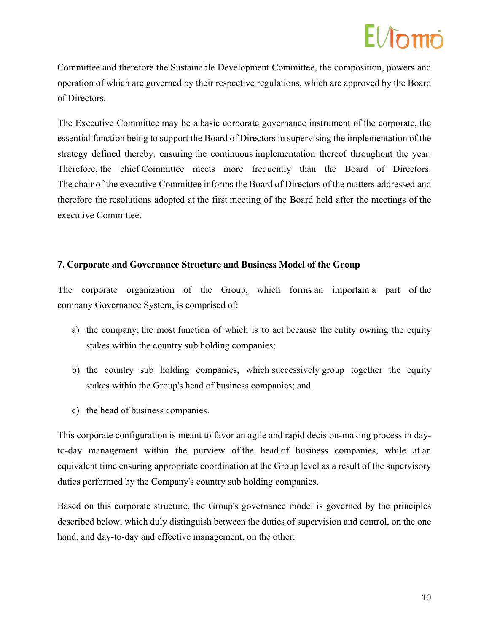# $F/L$

Committee and therefore the Sustainable Development Committee, the composition, powers and operation of which are governed by their respective regulations, which are approved by the Board of Directors.

The Executive Committee may be a basic corporate governance instrument of the corporate, the essential function being to support the Board of Directors in supervising the implementation of the strategy defined thereby, ensuring the continuous implementation thereof throughout the year. Therefore, the chief Committee meets more frequently than the Board of Directors. The chair of the executive Committee informs the Board of Directors of the matters addressed and therefore the resolutions adopted at the first meeting of the Board held after the meetings of the executive Committee.

### **7. Corporate and Governance Structure and Business Model of the Group**

The corporate organization of the Group, which forms an important a part of the company Governance System, is comprised of:

- a) the company, the most function of which is to act because the entity owning the equity stakes within the country sub holding companies;
- b) the country sub holding companies, which successively group together the equity stakes within the Group's head of business companies; and
- c) the head of business companies.

This corporate configuration is meant to favor an agile and rapid decision-making process in dayto-day management within the purview of the head of business companies, while at an equivalent time ensuring appropriate coordination at the Group level as a result of the supervisory duties performed by the Company's country sub holding companies.

Based on this corporate structure, the Group's governance model is governed by the principles described below, which duly distinguish between the duties of supervision and control, on the one hand, and day-to-day and effective management, on the other: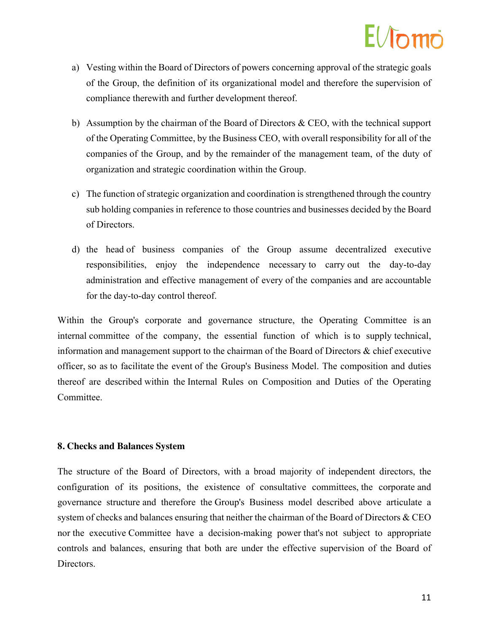# $E/Jn$ mo

- a) Vesting within the Board of Directors of powers concerning approval of the strategic goals of the Group, the definition of its organizational model and therefore the supervision of compliance therewith and further development thereof.
- b) Assumption by the chairman of the Board of Directors  $\&$  CEO, with the technical support of the Operating Committee, by the Business CEO, with overall responsibility for all of the companies of the Group, and by the remainder of the management team, of the duty of organization and strategic coordination within the Group.
- c) The function of strategic organization and coordination is strengthened through the country sub holding companies in reference to those countries and businesses decided by the Board of Directors.
- d) the head of business companies of the Group assume decentralized executive responsibilities, enjoy the independence necessary to carry out the day-to-day administration and effective management of every of the companies and are accountable for the day-to-day control thereof.

Within the Group's corporate and governance structure, the Operating Committee is an internal committee of the company, the essential function of which is to supply technical, information and management support to the chairman of the Board of Directors & chief executive officer, so as to facilitate the event of the Group's Business Model. The composition and duties thereof are described within the Internal Rules on Composition and Duties of the Operating Committee.

### **8. Checks and Balances System**

The structure of the Board of Directors, with a broad majority of independent directors, the configuration of its positions, the existence of consultative committees, the corporate and governance structure and therefore the Group's Business model described above articulate a system of checks and balances ensuring that neither the chairman of the Board of Directors & CEO nor the executive Committee have a decision-making power that's not subject to appropriate controls and balances, ensuring that both are under the effective supervision of the Board of Directors.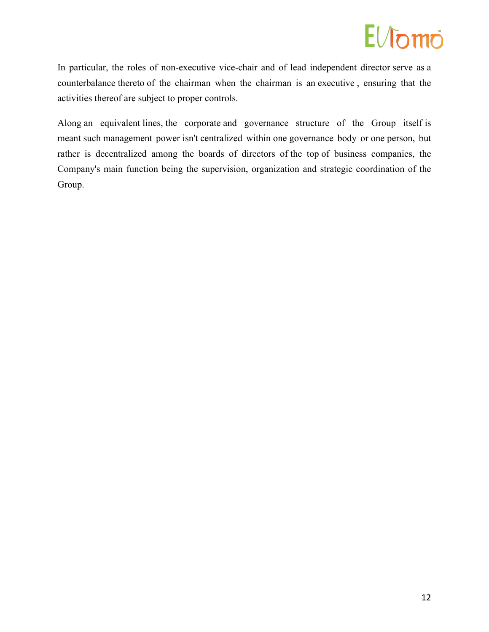### EVomo

In particular, the roles of non-executive vice-chair and of lead independent director serve as a counterbalance thereto of the chairman when the chairman is an executive , ensuring that the activities thereof are subject to proper controls.

Along an equivalent lines, the corporate and governance structure of the Group itself is meant such management power isn't centralized within one governance body or one person, but rather is decentralized among the boards of directors of the top of business companies, the Company's main function being the supervision, organization and strategic coordination of the Group.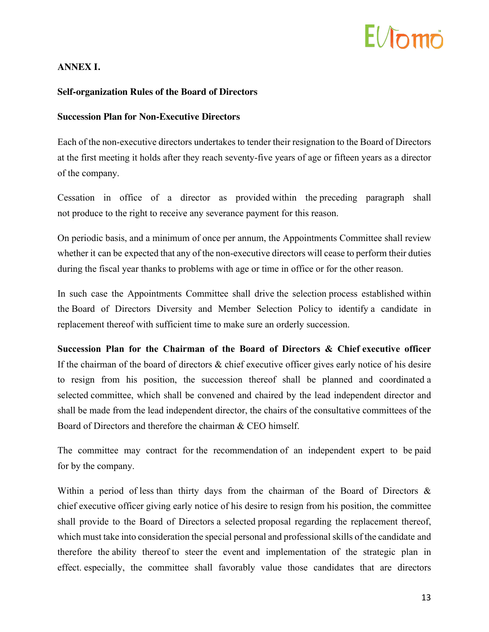### $E/Jn$

### **ANNEX I.**

#### **Self-organization Rules of the Board of Directors**

#### **Succession Plan for Non-Executive Directors**

Each of the non-executive directors undertakes to tender their resignation to the Board of Directors at the first meeting it holds after they reach seventy-five years of age or fifteen years as a director of the company.

Cessation in office of a director as provided within the preceding paragraph shall not produce to the right to receive any severance payment for this reason.

On periodic basis, and a minimum of once per annum, the Appointments Committee shall review whether it can be expected that any of the non-executive directors will cease to perform their duties during the fiscal year thanks to problems with age or time in office or for the other reason.

In such case the Appointments Committee shall drive the selection process established within the Board of Directors Diversity and Member Selection Policy to identify a candidate in replacement thereof with sufficient time to make sure an orderly succession.

**Succession Plan for the Chairman of the Board of Directors & Chief executive officer** If the chairman of the board of directors & chief executive officer gives early notice of his desire to resign from his position, the succession thereof shall be planned and coordinated a selected committee, which shall be convened and chaired by the lead independent director and shall be made from the lead independent director, the chairs of the consultative committees of the Board of Directors and therefore the chairman & CEO himself.

The committee may contract for the recommendation of an independent expert to be paid for by the company.

Within a period of less than thirty days from the chairman of the Board of Directors & chief executive officer giving early notice of his desire to resign from his position, the committee shall provide to the Board of Directors a selected proposal regarding the replacement thereof, which must take into consideration the special personal and professional skills of the candidate and therefore the ability thereof to steer the event and implementation of the strategic plan in effect. especially, the committee shall favorably value those candidates that are directors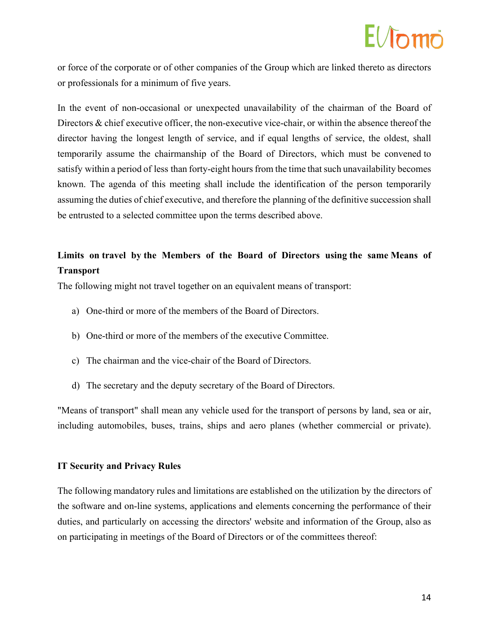### $E/\hbar m\tilde{\rho}$

or force of the corporate or of other companies of the Group which are linked thereto as directors or professionals for a minimum of five years.

In the event of non-occasional or unexpected unavailability of the chairman of the Board of Directors & chief executive officer, the non-executive vice-chair, or within the absence thereof the director having the longest length of service, and if equal lengths of service, the oldest, shall temporarily assume the chairmanship of the Board of Directors, which must be convened to satisfy within a period of less than forty-eight hours from the time that such unavailability becomes known. The agenda of this meeting shall include the identification of the person temporarily assuming the duties of chief executive, and therefore the planning of the definitive succession shall be entrusted to a selected committee upon the terms described above.

### **Limits on travel by the Members of the Board of Directors using the same Means of Transport**

The following might not travel together on an equivalent means of transport:

- a) One-third or more of the members of the Board of Directors.
- b) One-third or more of the members of the executive Committee.
- c) The chairman and the vice-chair of the Board of Directors.
- d) The secretary and the deputy secretary of the Board of Directors.

"Means of transport" shall mean any vehicle used for the transport of persons by land, sea or air, including automobiles, buses, trains, ships and aero planes (whether commercial or private).

### **IT Security and Privacy Rules**

The following mandatory rules and limitations are established on the utilization by the directors of the software and on-line systems, applications and elements concerning the performance of their duties, and particularly on accessing the directors' website and information of the Group, also as on participating in meetings of the Board of Directors or of the committees thereof: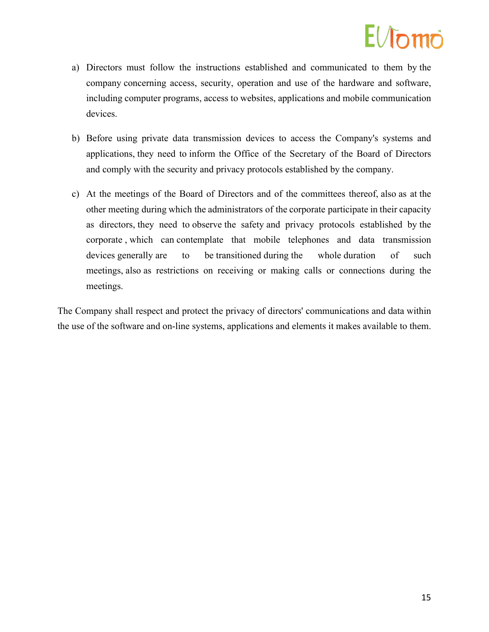### $F/fn$ mo

- a) Directors must follow the instructions established and communicated to them by the company concerning access, security, operation and use of the hardware and software, including computer programs, access to websites, applications and mobile communication devices.
- b) Before using private data transmission devices to access the Company's systems and applications, they need to inform the Office of the Secretary of the Board of Directors and comply with the security and privacy protocols established by the company.
- c) At the meetings of the Board of Directors and of the committees thereof, also as at the other meeting during which the administrators of the corporate participate in their capacity as directors, they need to observe the safety and privacy protocols established by the corporate , which can contemplate that mobile telephones and data transmission devices generally are to be transitioned during the whole duration of such meetings, also as restrictions on receiving or making calls or connections during the meetings.

The Company shall respect and protect the privacy of directors' communications and data within the use of the software and on-line systems, applications and elements it makes available to them.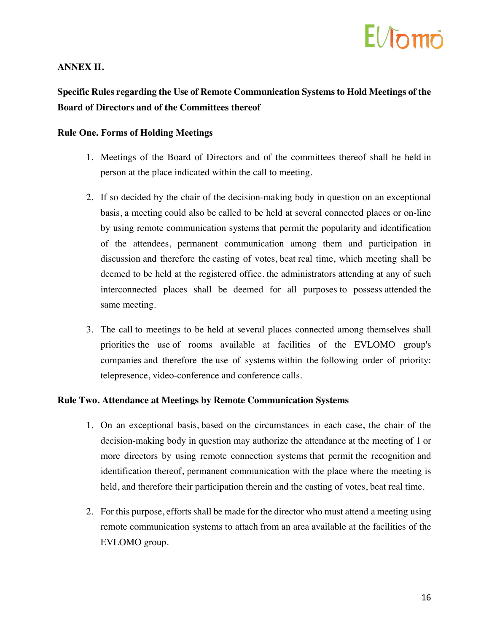### $F/\hbar m$ n

### **ANNEX II.**

**Specific Rules regarding the Use of Remote Communication Systems to Hold Meetings of the Board of Directors and of the Committees thereof**

#### **Rule One. Forms of Holding Meetings**

- 1. Meetings of the Board of Directors and of the committees thereof shall be held in person at the place indicated within the call to meeting.
- 2. If so decided by the chair of the decision-making body in question on an exceptional basis, a meeting could also be called to be held at several connected places or on-line by using remote communication systems that permit the popularity and identification of the attendees, permanent communication among them and participation in discussion and therefore the casting of votes, beat real time, which meeting shall be deemed to be held at the registered office. the administrators attending at any of such interconnected places shall be deemed for all purposes to possess attended the same meeting.
- 3. The call to meetings to be held at several places connected among themselves shall priorities the use of rooms available at facilities of the EVLOMO group's companies and therefore the use of systems within the following order of priority: telepresence, video-conference and conference calls.

#### **Rule Two. Attendance at Meetings by Remote Communication Systems**

- 1. On an exceptional basis, based on the circumstances in each case, the chair of the decision-making body in question may authorize the attendance at the meeting of 1 or more directors by using remote connection systems that permit the recognition and identification thereof, permanent communication with the place where the meeting is held, and therefore their participation therein and the casting of votes, beat real time.
- 2. For this purpose, efforts shall be made for the director who must attend a meeting using remote communication systems to attach from an area available at the facilities of the EVLOMO group.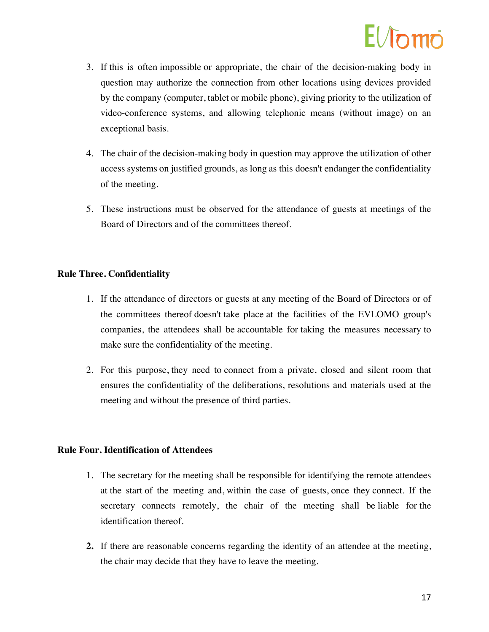### $H/\hbar m\ddot{\tilde{\Gamma}}$

- 3. If this is often impossible or appropriate, the chair of the decision-making body in question may authorize the connection from other locations using devices provided by the company (computer, tablet or mobile phone), giving priority to the utilization of video-conference systems, and allowing telephonic means (without image) on an exceptional basis.
- 4. The chair of the decision-making body in question may approve the utilization of other access systems on justified grounds, as long as this doesn't endanger the confidentiality of the meeting.
- 5. These instructions must be observed for the attendance of guests at meetings of the Board of Directors and of the committees thereof.

### **Rule Three. Confidentiality**

- 1. If the attendance of directors or guests at any meeting of the Board of Directors or of the committees thereof doesn't take place at the facilities of the EVLOMO group's companies, the attendees shall be accountable for taking the measures necessary to make sure the confidentiality of the meeting.
- 2. For this purpose, they need to connect from a private, closed and silent room that ensures the confidentiality of the deliberations, resolutions and materials used at the meeting and without the presence of third parties.

#### **Rule Four. Identification of Attendees**

- 1. The secretary for the meeting shall be responsible for identifying the remote attendees at the start of the meeting and, within the case of guests, once they connect. If the secretary connects remotely, the chair of the meeting shall be liable for the identification thereof.
- **2.** If there are reasonable concerns regarding the identity of an attendee at the meeting, the chair may decide that they have to leave the meeting.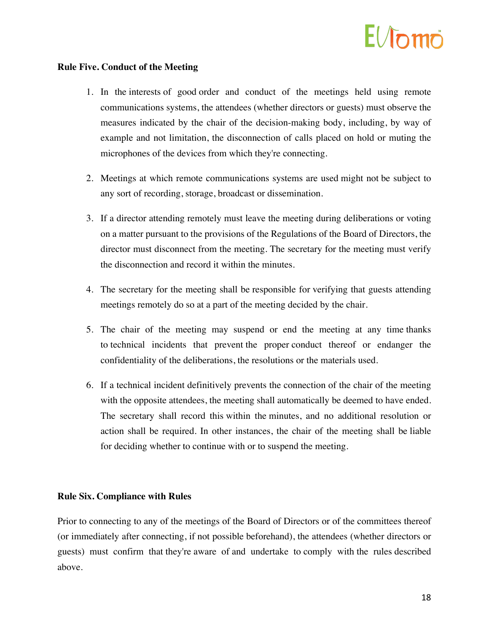### $F/Ln$ mo

#### **Rule Five. Conduct of the Meeting**

- 1. In the interests of good order and conduct of the meetings held using remote communications systems, the attendees (whether directors or guests) must observe the measures indicated by the chair of the decision-making body, including, by way of example and not limitation, the disconnection of calls placed on hold or muting the microphones of the devices from which they're connecting.
- 2. Meetings at which remote communications systems are used might not be subject to any sort of recording, storage, broadcast or dissemination.
- 3. If a director attending remotely must leave the meeting during deliberations or voting on a matter pursuant to the provisions of the Regulations of the Board of Directors, the director must disconnect from the meeting. The secretary for the meeting must verify the disconnection and record it within the minutes.
- 4. The secretary for the meeting shall be responsible for verifying that guests attending meetings remotely do so at a part of the meeting decided by the chair.
- 5. The chair of the meeting may suspend or end the meeting at any time thanks to technical incidents that prevent the proper conduct thereof or endanger the confidentiality of the deliberations, the resolutions or the materials used.
- 6. If a technical incident definitively prevents the connection of the chair of the meeting with the opposite attendees, the meeting shall automatically be deemed to have ended. The secretary shall record this within the minutes, and no additional resolution or action shall be required. In other instances, the chair of the meeting shall be liable for deciding whether to continue with or to suspend the meeting.

#### **Rule Six. Compliance with Rules**

Prior to connecting to any of the meetings of the Board of Directors or of the committees thereof (or immediately after connecting, if not possible beforehand), the attendees (whether directors or guests) must confirm that they're aware of and undertake to comply with the rules described above.